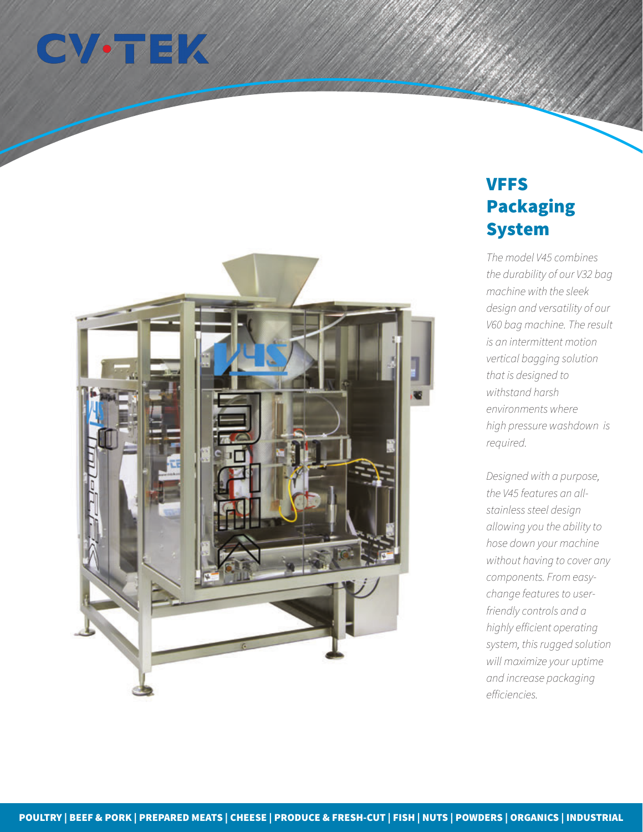



## VFFS Packaging System

*The model V45 combines the durability of our V32 bag machine with the sleek design and versatility of our V60 bag machine. The result is an intermittent motion vertical bagging solution that is designed to withstand harsh environments where high pressure washdown is required.*

*Designed with a purpose, the V45 features an allstainless steel design allowing you the ability to hose down your machine without having to cover any components. From easychange features to userfriendly controls and a highly efficient operating system, this rugged solution will maximize your uptime and increase packaging efficiencies.*